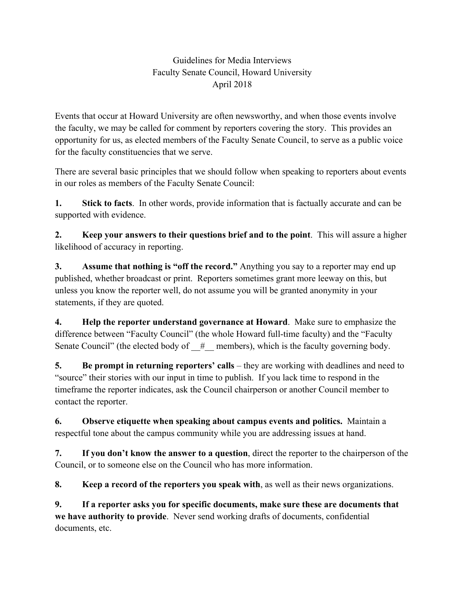## Guidelines for Media Interviews Faculty Senate Council, Howard University April 2018

Events that occur at Howard University are often newsworthy, and when those events involve the faculty, we may be called for comment by reporters covering the story. This provides an opportunity for us, as elected members of the Faculty Senate Council, to serve as a public voice for the faculty constituencies that we serve.

There are several basic principles that we should follow when speaking to reporters about events in our roles as members of the Faculty Senate Council:

**1. Stick to facts**. In other words, provide information that is factually accurate and can be supported with evidence.

**2. Keep your answers to their questions brief and to the point**. This will assure a higher likelihood of accuracy in reporting.

**3. Assume that nothing is "off the record."** Anything you say to a reporter may end up published, whether broadcast or print. Reporters sometimes grant more leeway on this, but unless you know the reporter well, do not assume you will be granted anonymity in your statements, if they are quoted.

**4. Help the reporter understand governance at Howard**. Make sure to emphasize the difference between "Faculty Council" (the whole Howard full-time faculty) and the "Faculty Senate Council" (the elected body of  $#$  members), which is the faculty governing body.

**5. Be prompt in returning reporters' calls** – they are working with deadlines and need to "source" their stories with our input in time to publish. If you lack time to respond in the timeframe the reporter indicates, ask the Council chairperson or another Council member to contact the reporter.

**6. Observe etiquette when speaking about campus events and politics.** Maintain a respectful tone about the campus community while you are addressing issues at hand.

**7. If you don't know the answer to a question**, direct the reporter to the chairperson of the Council, or to someone else on the Council who has more information.

**8. Keep a record of the reporters you speak with**, as well as their news organizations.

**9. If a reporter asks you for specific documents, make sure these are documents that we have authority to provide**. Never send working drafts of documents, confidential documents, etc.